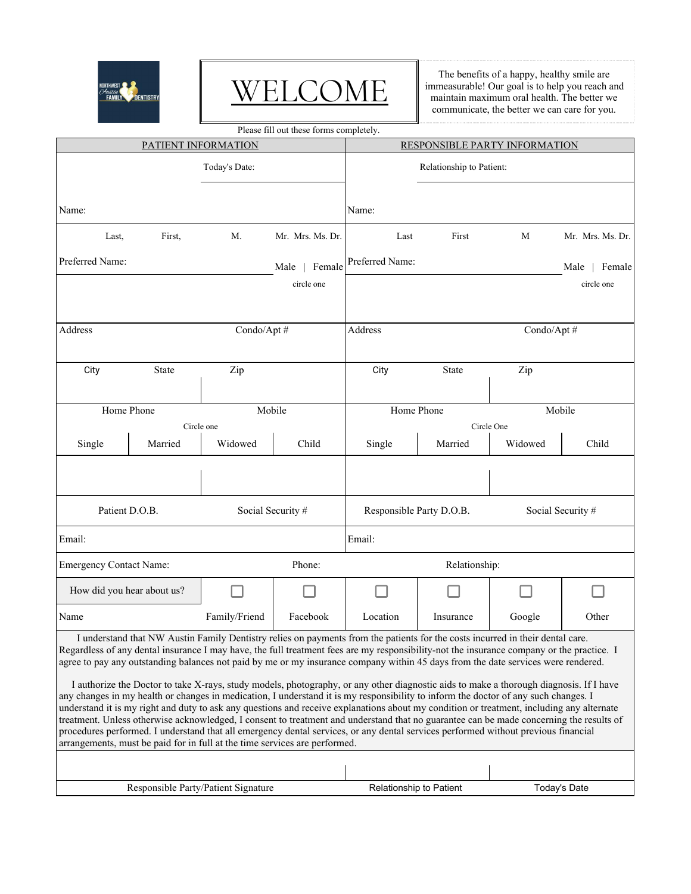

## WELCOME

The benefits of a happy, healthy smile are immeasurable! Our goal is to help you reach and maintain maximum oral health. The better we communicate, the better we can care for you.

Please fill out these forms completely.

| PATIENT INFORMATION                 |              |                   |                                                                            | RESPONSIBLE PARTY INFORMATION                                                                                                                                                                                                                                                                                                                                                                                                                                                                                                                                                                                                                                                                                                                                                                                                                                                                                                                                                                                                                                                                                                  |                       |                   |                  |  |
|-------------------------------------|--------------|-------------------|----------------------------------------------------------------------------|--------------------------------------------------------------------------------------------------------------------------------------------------------------------------------------------------------------------------------------------------------------------------------------------------------------------------------------------------------------------------------------------------------------------------------------------------------------------------------------------------------------------------------------------------------------------------------------------------------------------------------------------------------------------------------------------------------------------------------------------------------------------------------------------------------------------------------------------------------------------------------------------------------------------------------------------------------------------------------------------------------------------------------------------------------------------------------------------------------------------------------|-----------------------|-------------------|------------------|--|
| Today's Date:                       |              |                   | Relationship to Patient:                                                   |                                                                                                                                                                                                                                                                                                                                                                                                                                                                                                                                                                                                                                                                                                                                                                                                                                                                                                                                                                                                                                                                                                                                |                       |                   |                  |  |
| Name:                               |              |                   |                                                                            | Name:                                                                                                                                                                                                                                                                                                                                                                                                                                                                                                                                                                                                                                                                                                                                                                                                                                                                                                                                                                                                                                                                                                                          |                       |                   |                  |  |
| Last,                               | First,       | M.                | Mr. Mrs. Ms. Dr.                                                           | Last                                                                                                                                                                                                                                                                                                                                                                                                                                                                                                                                                                                                                                                                                                                                                                                                                                                                                                                                                                                                                                                                                                                           | First                 | M                 | Mr. Mrs. Ms. Dr. |  |
| Preferred Name:                     |              |                   | Female<br>Male                                                             | Preferred Name:                                                                                                                                                                                                                                                                                                                                                                                                                                                                                                                                                                                                                                                                                                                                                                                                                                                                                                                                                                                                                                                                                                                |                       |                   | Male   Female    |  |
|                                     |              |                   | circle one                                                                 |                                                                                                                                                                                                                                                                                                                                                                                                                                                                                                                                                                                                                                                                                                                                                                                                                                                                                                                                                                                                                                                                                                                                |                       |                   | circle one       |  |
| <b>Address</b>                      |              |                   | Condo/Apt#                                                                 |                                                                                                                                                                                                                                                                                                                                                                                                                                                                                                                                                                                                                                                                                                                                                                                                                                                                                                                                                                                                                                                                                                                                | Address<br>Condo/Apt# |                   |                  |  |
| City                                | <b>State</b> | Zip               |                                                                            | City                                                                                                                                                                                                                                                                                                                                                                                                                                                                                                                                                                                                                                                                                                                                                                                                                                                                                                                                                                                                                                                                                                                           | <b>State</b>          | Zip               |                  |  |
| Home Phone                          |              |                   | Mobile                                                                     | Home Phone                                                                                                                                                                                                                                                                                                                                                                                                                                                                                                                                                                                                                                                                                                                                                                                                                                                                                                                                                                                                                                                                                                                     |                       | Mobile            |                  |  |
|                                     |              | Circle one        |                                                                            |                                                                                                                                                                                                                                                                                                                                                                                                                                                                                                                                                                                                                                                                                                                                                                                                                                                                                                                                                                                                                                                                                                                                |                       | Circle One        |                  |  |
| Single                              | Married      | Widowed           | Child                                                                      | Single                                                                                                                                                                                                                                                                                                                                                                                                                                                                                                                                                                                                                                                                                                                                                                                                                                                                                                                                                                                                                                                                                                                         | Married               | Widowed           | Child            |  |
|                                     |              |                   |                                                                            |                                                                                                                                                                                                                                                                                                                                                                                                                                                                                                                                                                                                                                                                                                                                                                                                                                                                                                                                                                                                                                                                                                                                |                       |                   |                  |  |
| Patient D.O.B.                      |              | Social Security # |                                                                            | Responsible Party D.O.B.                                                                                                                                                                                                                                                                                                                                                                                                                                                                                                                                                                                                                                                                                                                                                                                                                                                                                                                                                                                                                                                                                                       |                       | Social Security # |                  |  |
| Email:                              |              |                   |                                                                            | Email:                                                                                                                                                                                                                                                                                                                                                                                                                                                                                                                                                                                                                                                                                                                                                                                                                                                                                                                                                                                                                                                                                                                         |                       |                   |                  |  |
| <b>Emergency Contact Name:</b>      |              |                   | Phone:                                                                     |                                                                                                                                                                                                                                                                                                                                                                                                                                                                                                                                                                                                                                                                                                                                                                                                                                                                                                                                                                                                                                                                                                                                | Relationship:         |                   |                  |  |
| How did you hear about us?          |              |                   |                                                                            |                                                                                                                                                                                                                                                                                                                                                                                                                                                                                                                                                                                                                                                                                                                                                                                                                                                                                                                                                                                                                                                                                                                                |                       |                   |                  |  |
| Name                                |              | Family/Friend     | Facebook                                                                   | Location                                                                                                                                                                                                                                                                                                                                                                                                                                                                                                                                                                                                                                                                                                                                                                                                                                                                                                                                                                                                                                                                                                                       | Insurance             | Google            | Other            |  |
|                                     |              |                   | arrangements, must be paid for in full at the time services are performed. | I understand that NW Austin Family Dentistry relies on payments from the patients for the costs incurred in their dental care<br>Regardless of any dental insurance I may have, the full treatment fees are my responsibility-not the insurance company or the practice. I<br>agree to pay any outstanding balances not paid by me or my insurance company within 45 days from the date services were rendered.<br>I authorize the Doctor to take X-rays, study models, photography, or any other diagnostic aids to make a thorough diagnosis. If I have<br>any changes in my health or changes in medication, I understand it is my responsibility to inform the doctor of any such changes. I<br>understand it is my right and duty to ask any questions and receive explanations about my condition or treatment, including any alternate<br>treatment. Unless otherwise acknowledged, I consent to treatment and understand that no guarantee can be made concerning the results of<br>procedures performed. I understand that all emergency dental services, or any dental services performed without previous financial |                       |                   |                  |  |
| Responsible Party/Patient Signature |              |                   |                                                                            | Relationship to Patient                                                                                                                                                                                                                                                                                                                                                                                                                                                                                                                                                                                                                                                                                                                                                                                                                                                                                                                                                                                                                                                                                                        |                       |                   | Today's Date     |  |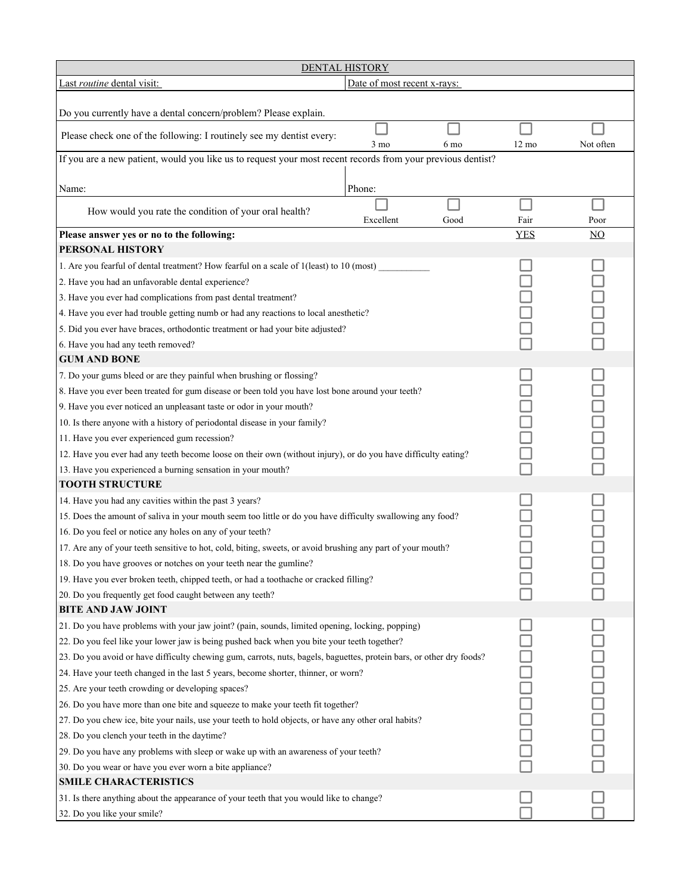| <b>DENTAL HISTORY</b>                                                                                                |                                                                                                            |                |                 |                  |  |  |
|----------------------------------------------------------------------------------------------------------------------|------------------------------------------------------------------------------------------------------------|----------------|-----------------|------------------|--|--|
| Last routine dental visit:<br>Date of most recent x-rays:                                                            |                                                                                                            |                |                 |                  |  |  |
| Do you currently have a dental concern/problem? Please explain.                                                      |                                                                                                            |                |                 |                  |  |  |
| Please check one of the following: I routinely see my dentist every:                                                 | $3 \text{ mo}$                                                                                             | 6 mo           | $12 \text{ mo}$ | Not often        |  |  |
| If you are a new patient, would you like us to request your most recent records from your previous dentist?          |                                                                                                            |                |                 |                  |  |  |
|                                                                                                                      |                                                                                                            |                |                 |                  |  |  |
| Name:                                                                                                                | Phone:                                                                                                     |                |                 |                  |  |  |
| How would you rate the condition of your oral health?                                                                | Excellent                                                                                                  | Good           | Fair            | Poor             |  |  |
| Please answer yes or no to the following:                                                                            |                                                                                                            |                | <b>YES</b>      | $\underline{NO}$ |  |  |
| PERSONAL HISTORY                                                                                                     |                                                                                                            |                |                 |                  |  |  |
| 1. Are you fearful of dental treatment? How fearful on a scale of 1(least) to 10 (most)                              |                                                                                                            |                |                 |                  |  |  |
| 2. Have you had an unfavorable dental experience?                                                                    |                                                                                                            |                |                 |                  |  |  |
| 3. Have you ever had complications from past dental treatment?                                                       |                                                                                                            |                |                 |                  |  |  |
| 4. Have you ever had trouble getting numb or had any reactions to local anesthetic?                                  |                                                                                                            |                |                 |                  |  |  |
| 5. Did you ever have braces, orthodontic treatment or had your bite adjusted?                                        |                                                                                                            |                |                 |                  |  |  |
| 6. Have you had any teeth removed?                                                                                   |                                                                                                            |                |                 |                  |  |  |
| <b>GUM AND BONE</b>                                                                                                  |                                                                                                            |                |                 |                  |  |  |
| 7. Do your gums bleed or are they painful when brushing or flossing?                                                 |                                                                                                            |                |                 |                  |  |  |
| 8. Have you ever been treated for gum disease or been told you have lost bone around your teeth?                     |                                                                                                            |                |                 | 0000<br>000      |  |  |
| 9. Have you ever noticed an unpleasant taste or odor in your mouth?                                                  |                                                                                                            |                |                 |                  |  |  |
| 10. Is there anyone with a history of periodontal disease in your family?                                            |                                                                                                            |                |                 |                  |  |  |
| 11. Have you ever experienced gum recession?                                                                         |                                                                                                            |                |                 |                  |  |  |
| 12. Have you ever had any teeth become loose on their own (without injury), or do you have difficulty eating?        |                                                                                                            |                |                 |                  |  |  |
| 13. Have you experienced a burning sensation in your mouth?                                                          |                                                                                                            |                |                 |                  |  |  |
| <b>TOOTH STRUCTURE</b>                                                                                               |                                                                                                            |                |                 |                  |  |  |
| 14. Have you had any cavities within the past 3 years?                                                               |                                                                                                            |                |                 |                  |  |  |
|                                                                                                                      | 15. Does the amount of saliva in your mouth seem too little or do you have difficulty swallowing any food? |                |                 |                  |  |  |
| 16. Do you feel or notice any holes on any of your teeth?                                                            |                                                                                                            |                |                 |                  |  |  |
| 17. Are any of your teeth sensitive to hot, cold, biting, sweets, or avoid brushing any part of your mouth?          |                                                                                                            |                |                 |                  |  |  |
| 18. Do you have grooves or notches on your teeth near the gumline?                                                   |                                                                                                            |                |                 |                  |  |  |
| 19. Have you ever broken teeth, chipped teeth, or had a toothache or cracked filling?                                |                                                                                                            |                |                 |                  |  |  |
| 20. Do you frequently get food caught between any teeth?                                                             |                                                                                                            |                |                 |                  |  |  |
| <b>BITE AND JAW JOINT</b>                                                                                            |                                                                                                            |                |                 |                  |  |  |
| 21. Do you have problems with your jaw joint? (pain, sounds, limited opening, locking, popping)                      |                                                                                                            |                |                 |                  |  |  |
| 22. Do you feel like your lower jaw is being pushed back when you bite your teeth together?                          |                                                                                                            |                |                 |                  |  |  |
| 23. Do you avoid or have difficulty chewing gum, carrots, nuts, bagels, baguettes, protein bars, or other dry foods? |                                                                                                            | <b>Doopper</b> |                 |                  |  |  |
| 24. Have your teeth changed in the last 5 years, become shorter, thinner, or worn?                                   |                                                                                                            |                |                 |                  |  |  |
| 25. Are your teeth crowding or developing spaces?                                                                    |                                                                                                            |                |                 |                  |  |  |
| 26. Do you have more than one bite and squeeze to make your teeth fit together?                                      |                                                                                                            |                |                 |                  |  |  |
| 27. Do you chew ice, bite your nails, use your teeth to hold objects, or have any other oral habits?                 |                                                                                                            |                |                 |                  |  |  |
| 28. Do you clench your teeth in the daytime?                                                                         |                                                                                                            |                |                 |                  |  |  |
| 29. Do you have any problems with sleep or wake up with an awareness of your teeth?                                  |                                                                                                            |                |                 |                  |  |  |
| 30. Do you wear or have you ever worn a bite appliance?                                                              |                                                                                                            |                |                 |                  |  |  |
| <b>SMILE CHARACTERISTICS</b>                                                                                         |                                                                                                            |                |                 |                  |  |  |
| 31. Is there anything about the appearance of your teeth that you would like to change?                              |                                                                                                            |                |                 |                  |  |  |
| 32. Do you like your smile?                                                                                          |                                                                                                            |                |                 |                  |  |  |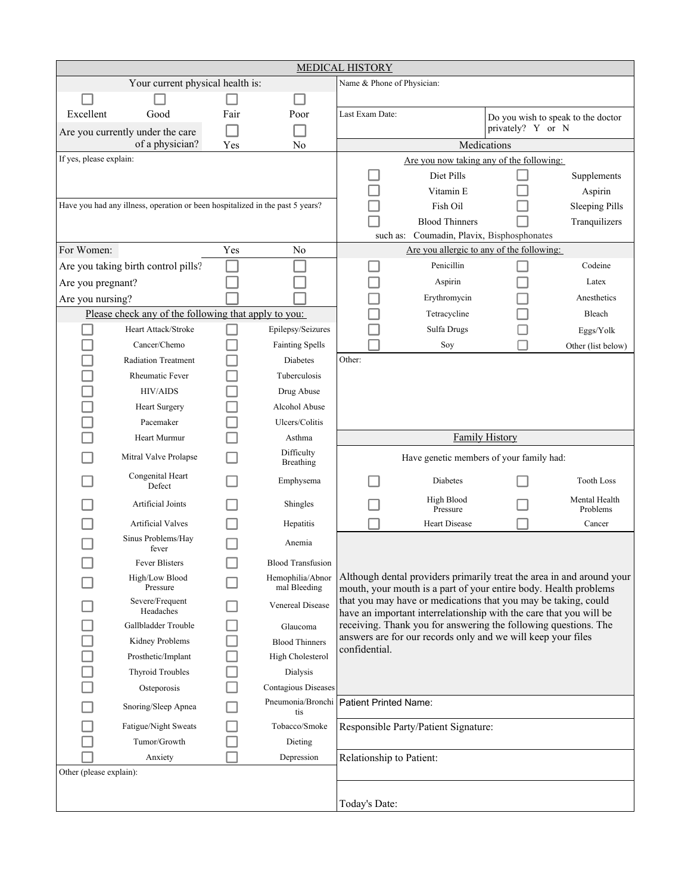|                                                                               |                                                      |      |                                  | <b>MEDICAL HISTORY</b>                                                                                                                                                                                                                                                            |                                           |                       |                                    |  |
|-------------------------------------------------------------------------------|------------------------------------------------------|------|----------------------------------|-----------------------------------------------------------------------------------------------------------------------------------------------------------------------------------------------------------------------------------------------------------------------------------|-------------------------------------------|-----------------------|------------------------------------|--|
|                                                                               | Your current physical health is:                     |      |                                  | Name & Phone of Physician:                                                                                                                                                                                                                                                        |                                           |                       |                                    |  |
|                                                                               |                                                      |      |                                  |                                                                                                                                                                                                                                                                                   |                                           |                       |                                    |  |
| Excellent                                                                     | Good                                                 | Fair | Poor                             | Last Exam Date:                                                                                                                                                                                                                                                                   |                                           |                       | Do you wish to speak to the doctor |  |
|                                                                               | Are you currently under the care                     |      |                                  |                                                                                                                                                                                                                                                                                   |                                           | privately? Y or N     |                                    |  |
|                                                                               | of a physician?                                      | Yes  | No                               |                                                                                                                                                                                                                                                                                   |                                           | Medications           |                                    |  |
| If yes, please explain:                                                       |                                                      |      |                                  |                                                                                                                                                                                                                                                                                   | Are you now taking any of the following:  |                       |                                    |  |
|                                                                               |                                                      |      |                                  |                                                                                                                                                                                                                                                                                   | Diet Pills                                |                       | Supplements                        |  |
|                                                                               |                                                      |      |                                  |                                                                                                                                                                                                                                                                                   | Vitamin E                                 |                       | Aspirin                            |  |
| Have you had any illness, operation or been hospitalized in the past 5 years? |                                                      |      |                                  | Fish Oil                                                                                                                                                                                                                                                                          |                                           | <b>Sleeping Pills</b> |                                    |  |
|                                                                               |                                                      |      |                                  |                                                                                                                                                                                                                                                                                   | <b>Blood Thinners</b>                     |                       | Tranquilizers                      |  |
|                                                                               |                                                      |      |                                  | such as:                                                                                                                                                                                                                                                                          | Coumadin, Plavix, Bisphosphonates         |                       |                                    |  |
| For Women:                                                                    |                                                      | Yes  | No                               |                                                                                                                                                                                                                                                                                   | Are you allergic to any of the following: |                       |                                    |  |
|                                                                               | Are you taking birth control pills?                  |      |                                  |                                                                                                                                                                                                                                                                                   | Penicillin                                |                       | Codeine                            |  |
| Are you pregnant?                                                             |                                                      |      |                                  |                                                                                                                                                                                                                                                                                   | Aspirin                                   |                       | Latex                              |  |
| Are you nursing?                                                              |                                                      |      |                                  |                                                                                                                                                                                                                                                                                   | Erythromycin                              |                       | Anesthetics                        |  |
|                                                                               | Please check any of the following that apply to you: |      |                                  |                                                                                                                                                                                                                                                                                   | Tetracycline                              |                       | Bleach                             |  |
|                                                                               | Heart Attack/Stroke                                  |      | Epilepsy/Seizures                |                                                                                                                                                                                                                                                                                   | Sulfa Drugs                               |                       | Eggs/Yolk                          |  |
|                                                                               | Cancer/Chemo                                         |      | <b>Fainting Spells</b>           |                                                                                                                                                                                                                                                                                   | Soy                                       |                       | Other (list below)                 |  |
|                                                                               | <b>Radiation Treatment</b>                           |      | <b>Diabetes</b>                  | Other:                                                                                                                                                                                                                                                                            |                                           |                       |                                    |  |
|                                                                               | <b>Rheumatic Fever</b>                               |      | Tuberculosis                     |                                                                                                                                                                                                                                                                                   |                                           |                       |                                    |  |
|                                                                               | <b>HIV/AIDS</b>                                      |      | Drug Abuse                       |                                                                                                                                                                                                                                                                                   |                                           |                       |                                    |  |
|                                                                               | <b>Heart Surgery</b>                                 |      | Alcohol Abuse                    |                                                                                                                                                                                                                                                                                   |                                           |                       |                                    |  |
|                                                                               | Pacemaker                                            |      | Ulcers/Colitis                   |                                                                                                                                                                                                                                                                                   |                                           |                       |                                    |  |
|                                                                               | Heart Murmur                                         |      | Asthma                           |                                                                                                                                                                                                                                                                                   |                                           | <b>Family History</b> |                                    |  |
|                                                                               | Mitral Valve Prolapse                                |      | Difficulty<br><b>Breathing</b>   | Have genetic members of your family had:                                                                                                                                                                                                                                          |                                           |                       |                                    |  |
|                                                                               | Congenital Heart<br>Defect                           |      | Emphysema                        |                                                                                                                                                                                                                                                                                   | <b>Diabetes</b>                           |                       | <b>Tooth Loss</b>                  |  |
|                                                                               | Artificial Joints                                    |      | Shingles                         |                                                                                                                                                                                                                                                                                   | High Blood<br>Pressure                    |                       | Mental Health<br>Problems          |  |
|                                                                               | <b>Artificial Valves</b>                             |      | Hepatitis                        |                                                                                                                                                                                                                                                                                   | <b>Heart Disease</b>                      |                       | Cancer                             |  |
|                                                                               | Sinus Problems/Hay<br>fever                          |      | Anemia                           |                                                                                                                                                                                                                                                                                   |                                           |                       |                                    |  |
|                                                                               | Fever Blisters                                       |      | <b>Blood Transfusion</b>         |                                                                                                                                                                                                                                                                                   |                                           |                       |                                    |  |
|                                                                               | High/Low Blood<br>Pressure                           |      | Hemophilia/Abnor<br>mal Bleeding | Although dental providers primarily treat the area in and around your<br>mouth, your mouth is a part of your entire body. Health problems<br>that you may have or medications that you may be taking, could<br>have an important interrelationship with the care that you will be |                                           |                       |                                    |  |
|                                                                               | Severe/Frequent<br>Headaches                         |      | Venereal Disease                 |                                                                                                                                                                                                                                                                                   |                                           |                       |                                    |  |
|                                                                               | Gallbladder Trouble                                  |      | Glaucoma                         | receiving. Thank you for answering the following questions. The                                                                                                                                                                                                                   |                                           |                       |                                    |  |
|                                                                               | Kidney Problems                                      |      | <b>Blood Thinners</b>            | answers are for our records only and we will keep your files                                                                                                                                                                                                                      |                                           |                       |                                    |  |
|                                                                               | Prosthetic/Implant                                   |      | High Cholesterol                 | confidential.                                                                                                                                                                                                                                                                     |                                           |                       |                                    |  |
|                                                                               | <b>Thyroid Troubles</b>                              |      | Dialysis                         |                                                                                                                                                                                                                                                                                   |                                           |                       |                                    |  |
|                                                                               | Osteporosis                                          |      | <b>Contagious Diseases</b>       |                                                                                                                                                                                                                                                                                   |                                           |                       |                                    |  |
|                                                                               | Snoring/Sleep Apnea                                  |      | Pneumonia/Bronchi<br>tis         | Patient Printed Name:                                                                                                                                                                                                                                                             |                                           |                       |                                    |  |
|                                                                               | Fatigue/Night Sweats                                 |      | Tobacco/Smoke                    |                                                                                                                                                                                                                                                                                   | Responsible Party/Patient Signature:      |                       |                                    |  |
|                                                                               | Tumor/Growth                                         |      | Dieting                          |                                                                                                                                                                                                                                                                                   |                                           |                       |                                    |  |
|                                                                               | Anxiety                                              |      | Depression                       | Relationship to Patient:                                                                                                                                                                                                                                                          |                                           |                       |                                    |  |
| Other (please explain):                                                       |                                                      |      |                                  |                                                                                                                                                                                                                                                                                   |                                           |                       |                                    |  |
|                                                                               |                                                      |      |                                  |                                                                                                                                                                                                                                                                                   |                                           |                       |                                    |  |
|                                                                               |                                                      |      |                                  | Today's Date:                                                                                                                                                                                                                                                                     |                                           |                       |                                    |  |